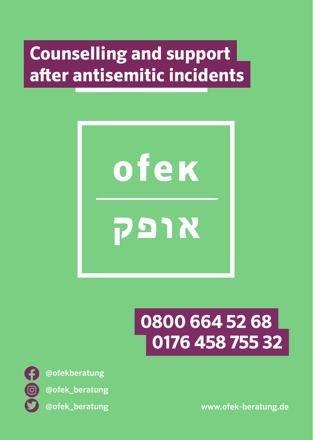# **Counselling and support after antisemitic incidents**



# **0800 664 52 68 0176 458 755 32**



@ofekberatung @ofek\_beratung

@ofek\_beratung www.ofek-beratung.de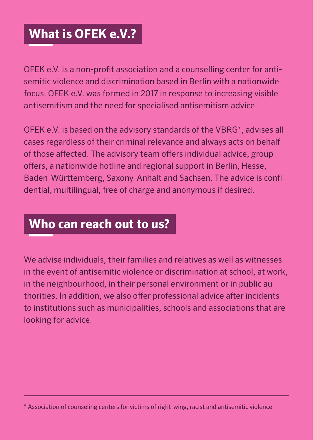### **What is OFEK e.V.?**

OFEK e.V. is a non-profit association and a counselling center for antisemitic violence and discrimination based in Berlin with a nationwide focus. OFEK e.V. was formed in 2017 in response to increasing visible antisemitism and the need for specialised antisemitism advice.

OFEK e.V. is based on the advisory standards of the VBRG\*, advises all cases regardless of their criminal relevance and always acts on behalf of those affected. The advisory team offers individual advice, group offers, a nationwide hotline and regional support in Berlin, Hesse, Baden-Württemberg, Saxony-Anhalt and Sachsen. The advice is confidential, multilingual, free of charge and anonymous if desired.

### **Who can reach out to us?**

We advise individuals, their families and relatives as well as witnesses in the event of antisemitic violence or discrimination at school, at work, in the neighbourhood, in their personal environment or in public authorities. In addition, we also offer professional advice after incidents to institutions such as municipalities, schools and associations that are looking for advice.

<sup>\*</sup> Association of counseling centers for victims of right-wing, racist and antisemitic violence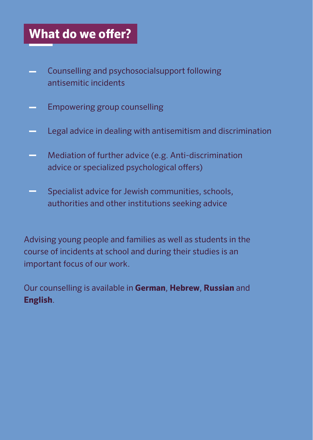### **What do we offer?**

- Counselling and psychosocialsupport following **Contract** antisemitic incidents
- Empowering group counselling
- Legal advice in dealing with antisemitism and discrimination
- Mediation of further advice (e.g. Anti-discrimination advice or specialized psychological offers)
- Specialist advice for Jewish communities, schools, authorities and other institutions seeking advice

Advising young people and families as well as students in the course of incidents at school and during their studies is an important focus of our work.

Our counselling is available in **German**, **Hebrew**, **Russian** and **English**.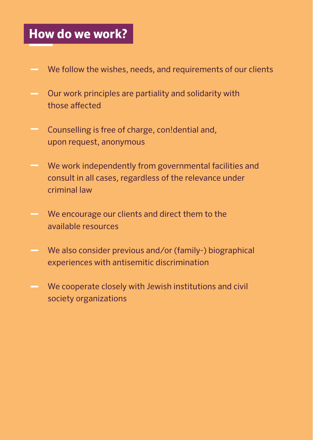### **How do we work?**

- We follow the wishes, needs, and requirements of our clients
- Our work principles are partiality and solidarity with those affected
- Counselling is free of charge, con!dential and, upon request, anonymous
- We work independently from governmental facilities and consult in all cases, regardless of the relevance under criminal law
- We encourage our clients and direct them to the available resources
- We also consider previous and/or (family-) biographical experiences with antisemitic discrimination
- We cooperate closely with Jewish institutions and civil society organizations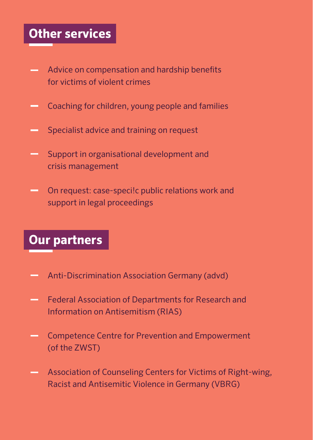### **Other services**

- Advice on compensation and hardship benefits for victims of violent crimes
- Coaching for children, young people and families
- Specialist advice and training on request
- Support in organisational development and crisis management
- On request: case-speci!c public relations work and support in legal proceedings

### **Our partners**

- Anti-Discrimination Association Germany (advd)
- Federal Association of Departments for Research and Information on Antisemitism (RIAS)
- Competence Centre for Prevention and Empowerment **Contract** (of the ZWST)
- Association of Counseling Centers for Victims of Right-wing, **Contract** Racist and Antisemitic Violence in Germany (VBRG)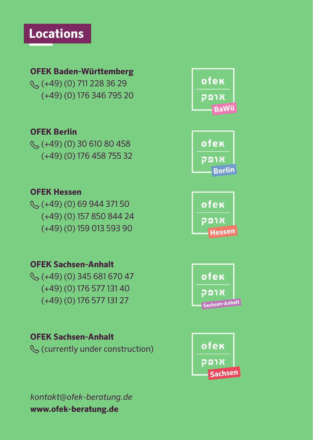### **OFEK Baden-Württemberg**

(+49) (0) 711 228 36 29 (+49) (0) 176 346 795 20

#### **OFEK Berlin**

 $\mathcal{L}(+49)$  (0) 30 610 80 458 (+49) (0) 176 458 755 32

#### **OFEK Hessen**

 $\Im$  (+49) (0) 69 944 371 50 (+49) (0) 157 850 844 24 (+49) (0) 159 013 593 90

#### **OFEK Sachsen-Anhalt**

 $\Im$  (+49) (0) 345 681 670 47 (+49) (0) 176 577 131 40 (+49) (0) 176 577 131 27

### **OFEK Sachsen-Anhalt**

(currently under construction)







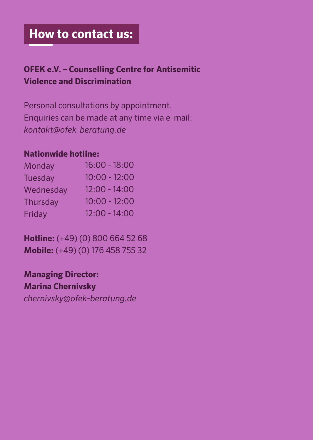### **How to contact us:**

### **OFEK e.V. – Counselling Centre for Antisemitic Violence and Discrimination**

Personal consultations by appointment. Enquiries can be made at any time via e-mail: *kontakt@ofek-beratung.de*

### **Nationwide hotline:**

| $16:00 - 18:00$ |
|-----------------|
| $10:00 - 12:00$ |
| $12:00 - 14:00$ |
| $10:00 - 12:00$ |
| $12:00 - 14:00$ |
|                 |

**Hotline:** (+49) (0) 800 664 52 68 **Mobile:** (+49) (0) 176 458 755 32

**Managing Director: Marina Chernivsky** *chernivsky@ofek-beratung.de*